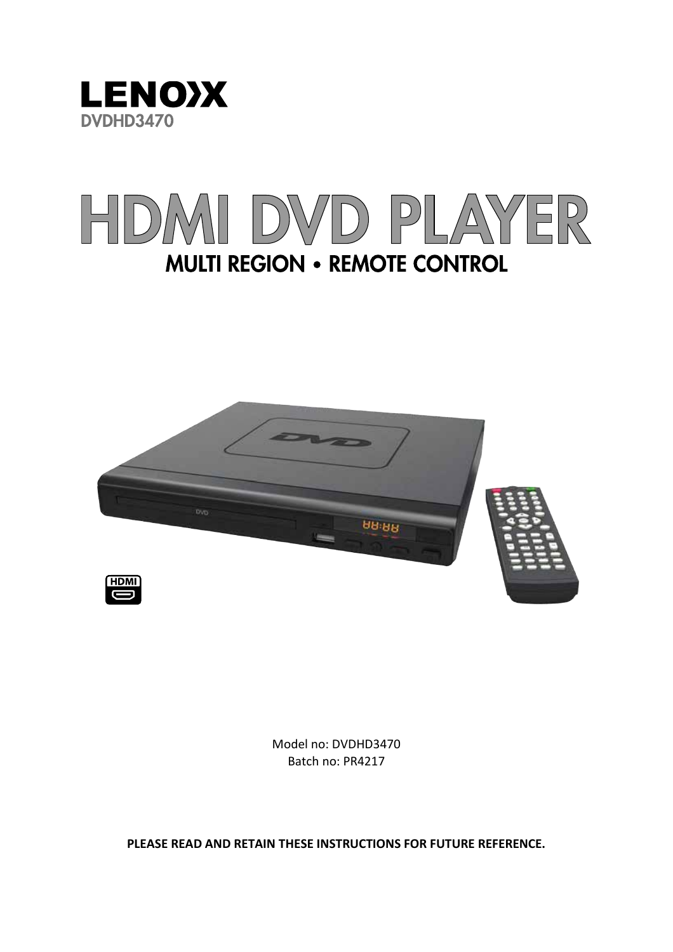

# VD PLAYER  $\begin{bmatrix} 1 \\ 1 \end{bmatrix}$ **MULTI REGION • REMOTE CONTROL**





Model no: DVDHD3470 Batch no: PR4217

**PLEASE READ AND RETAIN THESE INSTRUCTIONS FOR FUTURE REFERENCE.**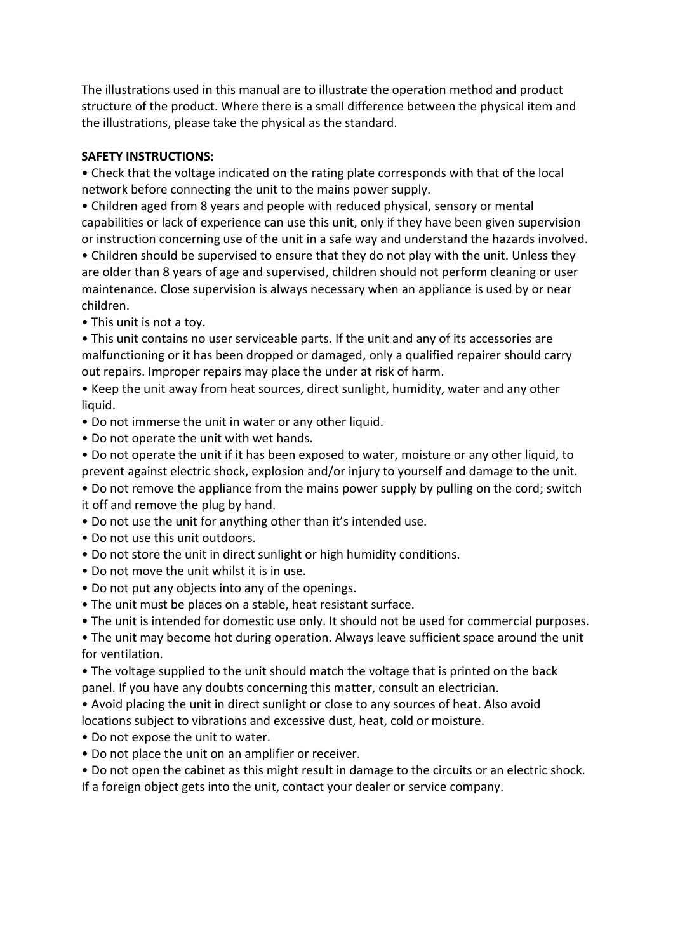The illustrations used in this manual are to illustrate the operation method and product structure of the product. Where there is a small difference between the physical item and the illustrations, please take the physical as the standard.

# **SAFETY INSTRUCTIONS:**

• Check that the voltage indicated on the rating plate corresponds with that of the local network before connecting the unit to the mains power supply.

• Children aged from 8 years and people with reduced physical, sensory or mental capabilities or lack of experience can use this unit, only if they have been given supervision or instruction concerning use of the unit in a safe way and understand the hazards involved.

• Children should be supervised to ensure that they do not play with the unit. Unless they are older than 8 years of age and supervised, children should not perform cleaning or user maintenance. Close supervision is always necessary when an appliance is used by or near children.

• This unit is not a toy.

• This unit contains no user serviceable parts. If the unit and any of its accessories are malfunctioning or it has been dropped or damaged, only a qualified repairer should carry out repairs. Improper repairs may place the under at risk of harm.

• Keep the unit away from heat sources, direct sunlight, humidity, water and any other liquid.

• Do not immerse the unit in water or any other liquid.

- Do not operate the unit with wet hands.
- Do not operate the unit if it has been exposed to water, moisture or any other liquid, to prevent against electric shock, explosion and/or injury to yourself and damage to the unit.
- Do not remove the appliance from the mains power supply by pulling on the cord; switch it off and remove the plug by hand.
- Do not use the unit for anything other than it's intended use.
- Do not use this unit outdoors.
- Do not store the unit in direct sunlight or high humidity conditions.
- Do not move the unit whilst it is in use.
- Do not put any objects into any of the openings.
- The unit must be places on a stable, heat resistant surface.
- The unit is intended for domestic use only. It should not be used for commercial purposes.

• The unit may become hot during operation. Always leave sufficient space around the unit for ventilation.

• The voltage supplied to the unit should match the voltage that is printed on the back panel. If you have any doubts concerning this matter, consult an electrician.

• Avoid placing the unit in direct sunlight or close to any sources of heat. Also avoid locations subject to vibrations and excessive dust, heat, cold or moisture.

- Do not expose the unit to water.
- Do not place the unit on an amplifier or receiver.

• Do not open the cabinet as this might result in damage to the circuits or an electric shock.

If a foreign object gets into the unit, contact your dealer or service company.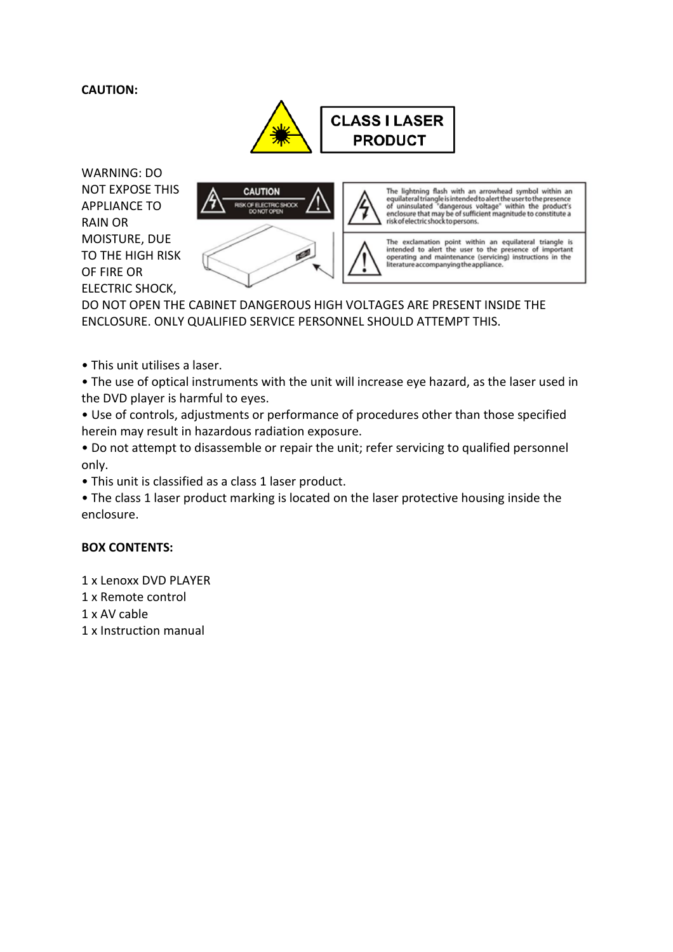# **CAUTION:**



WARNING: DO NOT EXPOSE THIS APPLIANCE TO RAIN OR MOISTURE, DUE TO THE HIGH RISK OF FIRE OR ELECTRIC SHOCK,



DO NOT OPEN THE CABINET DANGEROUS HIGH VOLTAGES ARE PRESENT INSIDE THE ENCLOSURE. ONLY QUALIFIED SERVICE PERSONNEL SHOULD ATTEMPT THIS.

• This unit utilises a laser.

• The use of optical instruments with the unit will increase eye hazard, as the laser used in the DVD player is harmful to eyes.

• Use of controls, adjustments or performance of procedures other than those specified herein may result in hazardous radiation exposure.

• Do not attempt to disassemble or repair the unit; refer servicing to qualified personnel only.

• This unit is classified as a class 1 laser product.

• The class 1 laser product marking is located on the laser protective housing inside the enclosure.

#### **BOX CONTENTS:**

1 x Lenoxx DVD PLAYER

- 1 x Remote control
- 1 x AV cable
- 1 x Instruction manual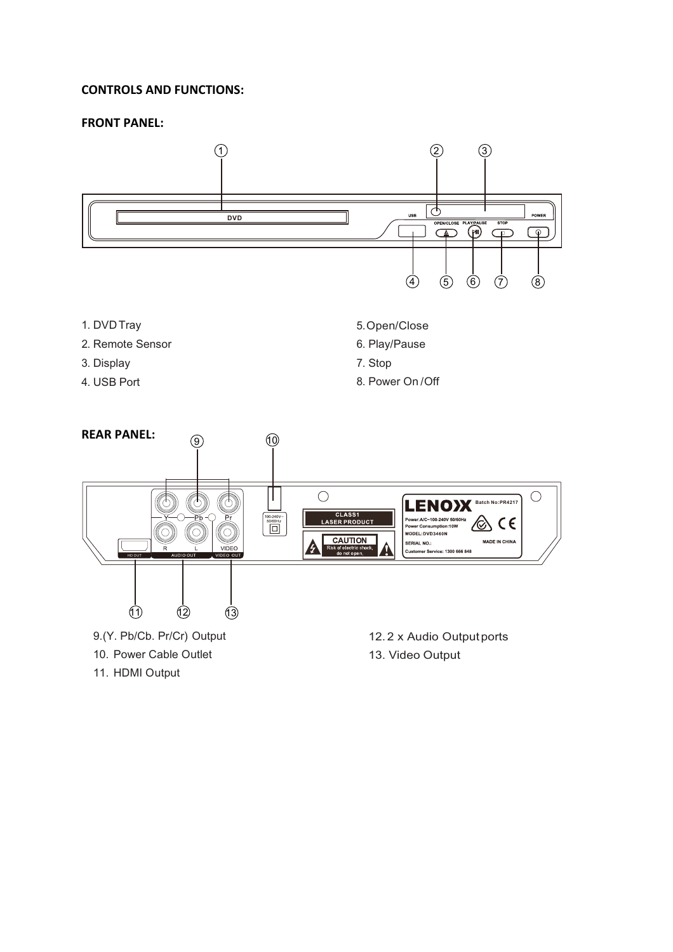#### **CONTROLS AND FUNCTIONS:**

#### **FRONT PANEL:**

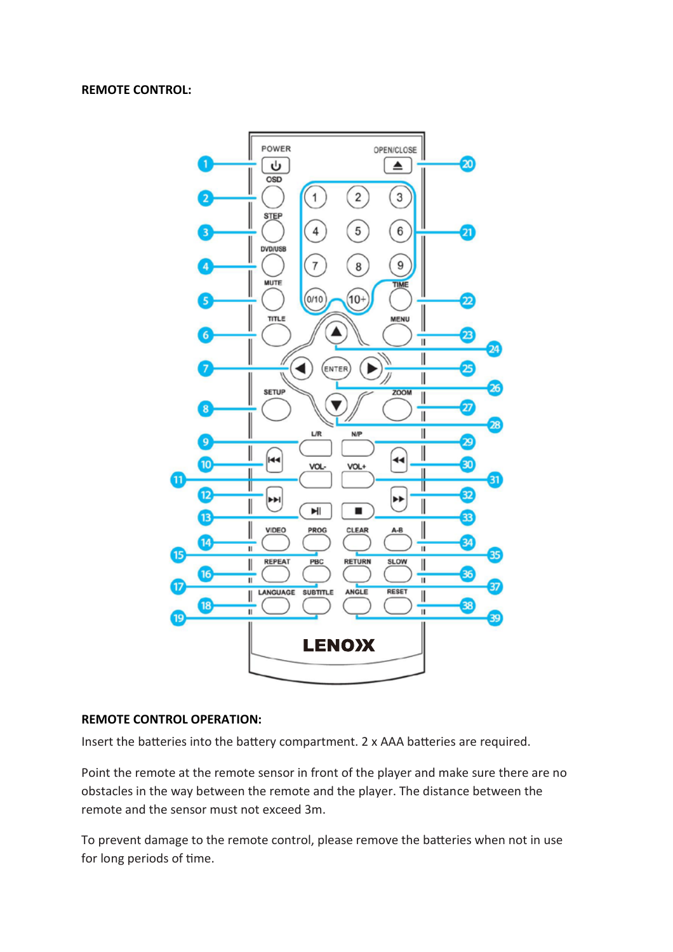#### **REMOTE CONTROL:**



#### **REMOTE CONTROL OPERATION:**

Insert the batteries into the battery compartment. 2 x AAA batteries are required.

Point the remote at the remote sensor in front of the player and make sure there are no obstacles in the way between the remote and the player. The distance between the remote and the sensor must not exceed 3m.

To prevent damage to the remote control, please remove the batteries when not in use for long periods of time.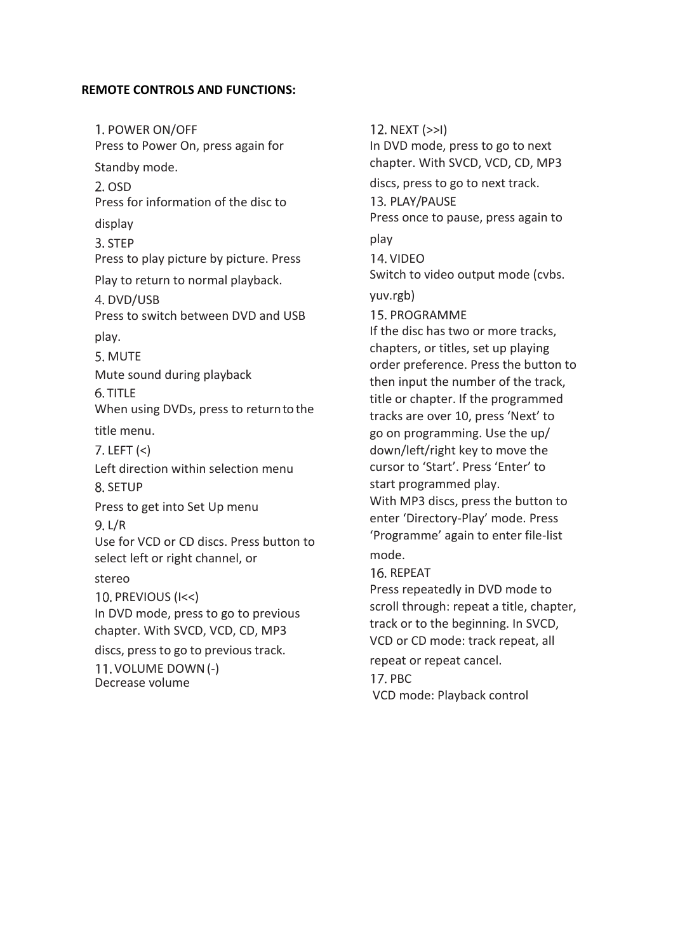#### **REMOTE CONTROLS AND FUNCTIONS:**

1. POWER ON/OFF Press to Power On, press again for Standby mode.  $2.$  OSD Press for information of the disc to display 3. STEP Press to play picture by picture. Press Play to return to normal playback. 4. DVD/USB Press to switch between DVD and USB play. 5. MUTF Mute sound during playback 6. TITLF When using DVDs, press to return to the title menu.  $7.$  LEFT  $(<)$ Left direction within selection menu 8. SETUP Press to get into Set Up menu L/R Use for VCD or CD discs. Press button to select left or right channel, or stereo 10. PREVIOUS (I<<) In DVD mode, press to go to previous chapter. With SVCD, VCD, CD, MP3 discs, press to go to previous track. 11. VOLUME DOWN (-) Decrease volume

12. NEXT (>>I) In DVD mode, press to go to next chapter. With SVCD, VCD, CD, MP3 discs, press to go to next track. 13. PLAY/PAUSE Press once to pause, press again to play 14. VIDEO Switch to video output mode (cvbs. yuv.rgb) 15. PROGRAMME If the disc has two or more tracks, chapters, or titles, set up playing order preference. Press the button to then input the number of the track, title or chapter. If the programmed tracks are over 10, press 'Next' to go on programming. Use the up/ down/left/right key to move the cursor to 'Start'. Press 'Enter' to start programmed play. With MP3 discs, press the button to enter 'Directory-Play' mode. Press 'Programme' again to enter file-list mode. 16. REPEAT Press repeatedly in DVD mode to scroll through: repeat a title, chapter, track or to the beginning. In SVCD, VCD or CD mode: track repeat, all repeat or repeat cancel. 17. PBC VCD mode: Playback control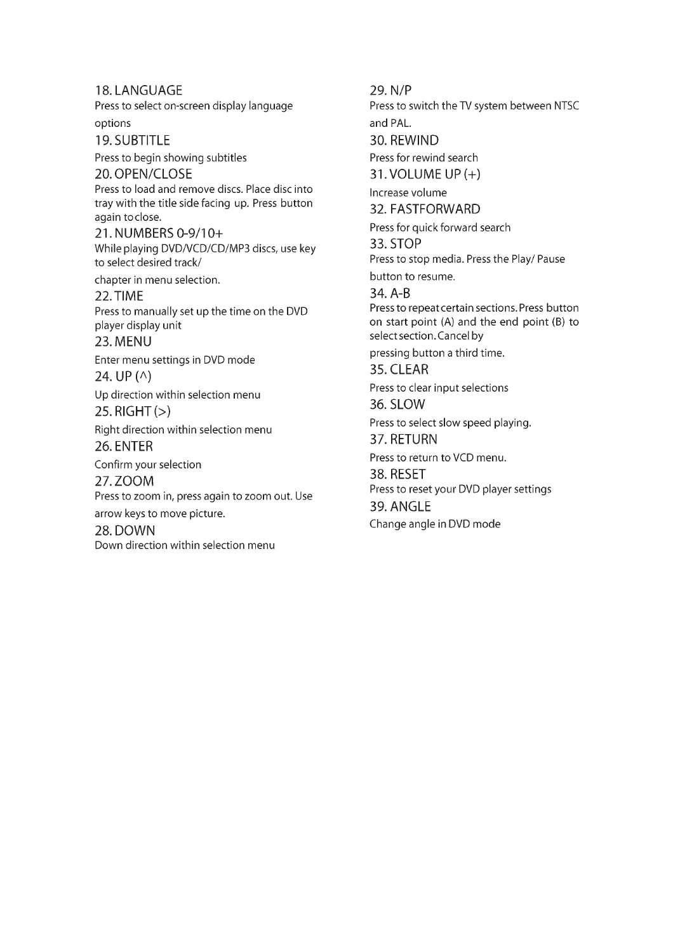18. LANGUAGE Press to select on-screen display language options 19. SUBTITLE Press to begin showing subtitles 20. OPEN/CLOSE Press to load and remove discs. Place discinto tray with the title side facing up. Press button again to close. 21. NUMBERS 0-9/10+ While playing DVD/VCD/CD/MP3 discs, use key to select desired track/ chapter in menu selection. 22. TIME Press to manually set up the time on the DVD player display unit 23. MENU Enter menu settings in DVD mode 24. UP $($  $\wedge$  $)$ 

Up direction within selection menu 25. RIGHT $(>)$ 

Right direction within selection menu 26. ENTER

Confirm your selection 27. ZOOM Press to zoom in, press again to zoom out. Use

arrow keys to move picture.

28. DOWN Down direction within selection menu 29. N/P

Press to switch the TV system between NTSC and PAL.

30. REWIND

Press for rewind search 31. VOLUME UP  $(+)$ 

Increase volume 32. FASTFORWARD

Press for quick forward search

33. STOP Press to stop media. Press the Play/ Pause

button to resume.

34. A-B Press to repeat certain sections. Press button on start point (A) and the end point (B) to select section. Cancel by

pressing button a third time.

35. CLEAR Press to clear input selections

36. SLOW

Press to select slow speed playing. 37. RETURN

Press to return to VCD menu.

38. RESET Press to reset your DVD player settings 39. ANGLE

Change angle in DVD mode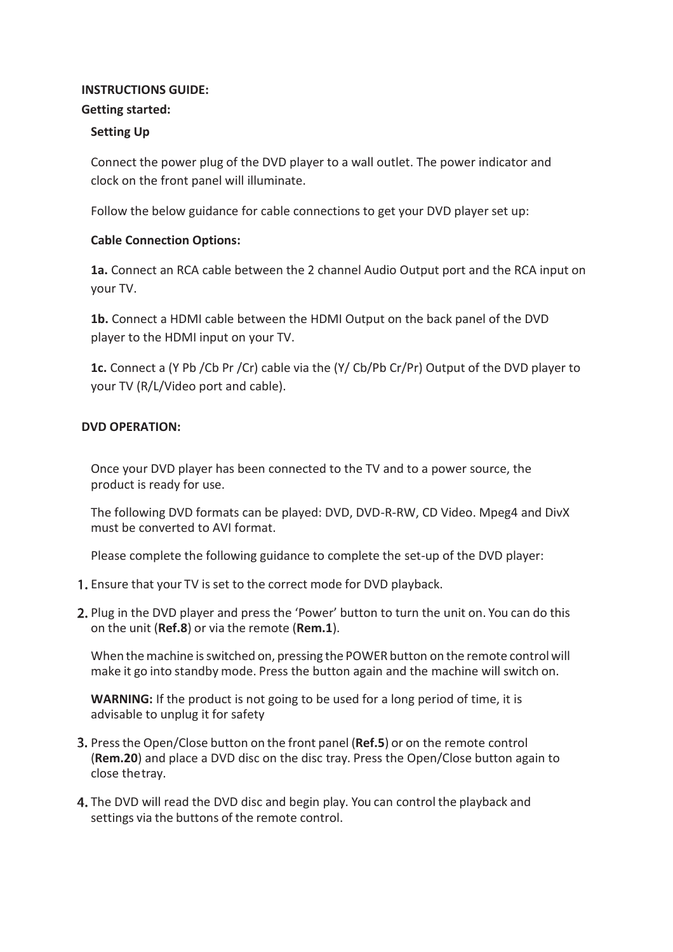# **INSTRUCTIONS GUIDE:**

# **Getting started:**

# **Setting Up**

Connect the power plug of the DVD player to a wall outlet. The power indicator and clock on the front panel will illuminate.

Follow the below guidance for cable connections to get your DVD player set up:

# **Cable Connection Options:**

**1a.** Connect an RCA cable between the 2 channel Audio Output port and the RCA input on your TV.

**1b.** Connect a HDMI cable between the HDMI Output on the back panel of the DVD player to the HDMI input on your TV.

**1c.** Connect a (Y Pb /Cb Pr /Cr) cable via the (Y/ Cb/Pb Cr/Pr) Output of the DVD player to your TV (R/L/Video port and cable).

# **DVD OPERATION:**

Once your DVD player has been connected to the TV and to a power source, the product is ready for use.

The following DVD formats can be played: DVD, DVD-R-RW, CD Video. Mpeg4 and DivX must be converted to AVI format.

Please complete the following guidance to complete the set-up of the DVD player:

- 1. Ensure that your TV is set to the correct mode for DVD playback.
- 2. Plug in the DVD player and press the 'Power' button to turn the unit on. You can do this on the unit (**Ref.8**) or via the remote (**Rem.1**).

When themachine isswitched on, pressing the POWER button on the remote control will make it go into standby mode. Press the button again and the machine will switch on.

**WARNING:** If the product is not going to be used for a long period of time, it is advisable to unplug it for safety

- Pressthe Open/Close button on the front panel (**Ref.5**) or on the remote control (**Rem.20**) and place a DVD disc on the disc tray. Press the Open/Close button again to close thetray.
- 4. The DVD will read the DVD disc and begin play. You can control the playback and settings via the buttons of the remote control.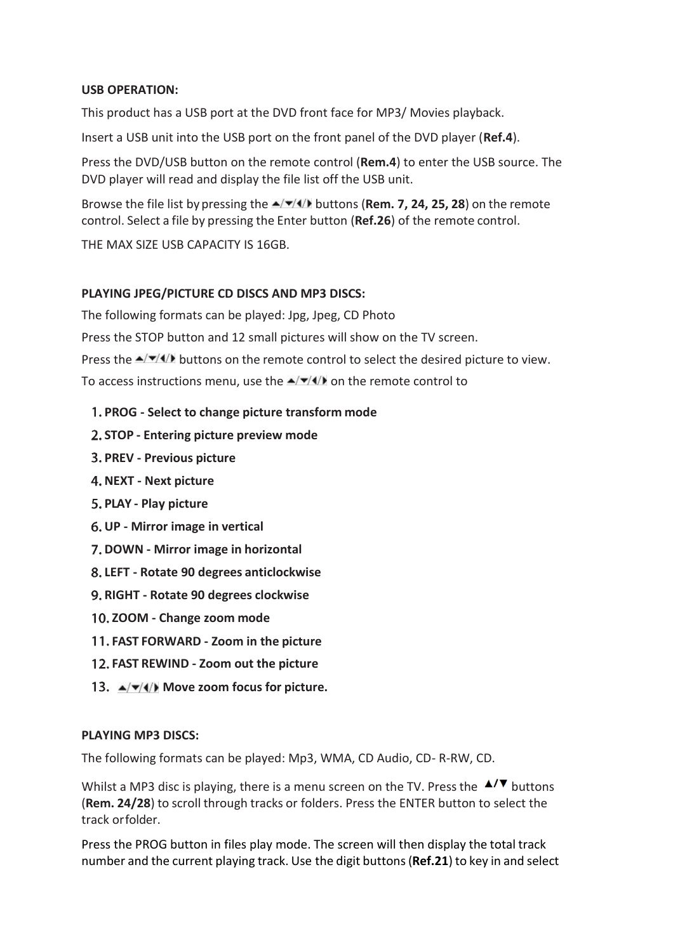#### **USB OPERATION:**

This product has a USB port at the DVD front face for MP3/ Movies playback.

Insert a USB unit into the USB port on the front panel of the DVD player (**Ref.4**).

Press the DVD/USB button on the remote control (**Rem.4**) to enter the USB source. The DVD player will read and display the file list off the USB unit.

Browse the file list by pressing the  $\frac{\triangle}{\triangle}$  buttons (**Rem. 7, 24, 25, 28**) on the remote control. Select a file by pressing the Enter button (**Ref.26**) of the remote control.

THE MAX SIZE USB CAPACITY IS 16GB.

# **PLAYING JPEG/PICTURE CD DISCS AND MP3 DISCS:**

The following formats can be played: Jpg, Jpeg, CD Photo

Press the STOP button and 12 small pictures will show on the TV screen.

Press the  $\triangle$ / $\triangle$ / $\triangle$ / $\triangle$  buttons on the remote control to select the desired picture to view.

To access instructions menu, use the  $\triangle$   $\blacktriangledown$  (4) on the remote control to

- **PROG - Select to change picture transform mode**
- **STOP - Entering picture preview mode**
- **PREV - Previous picture**
- **NEXT - Next picture**
- **PLAY - Play picture**
- **UP - Mirror image in vertical**
- **DOWN - Mirror image in horizontal**
- **LEFT - Rotate 90 degrees anticlockwise**
- **RIGHT - Rotate 90 degrees clockwise**
- **ZOOM - Change zoom mode**
- **FAST FORWARD - Zoom in the picture**
- **FAST REWIND - Zoom out the picture**
- **13.**  $\angle(\sqrt{\sqrt{4}})$  Move zoom focus for picture.

#### **PLAYING MP3 DISCS:**

The following formats can be played: Mp3, WMA, CD Audio, CD- R-RW, CD.

Whilst a MP3 disc is playing, there is a menu screen on the TV. Press the  $\triangle'$  buttons (**Rem. 24/28**) to scroll through tracks or folders. Press the ENTER button to select the track orfolder.

Press the PROG button in files play mode. The screen will then display the total track number and the current playing track. Use the digit buttons(**Ref.21**) to key in and select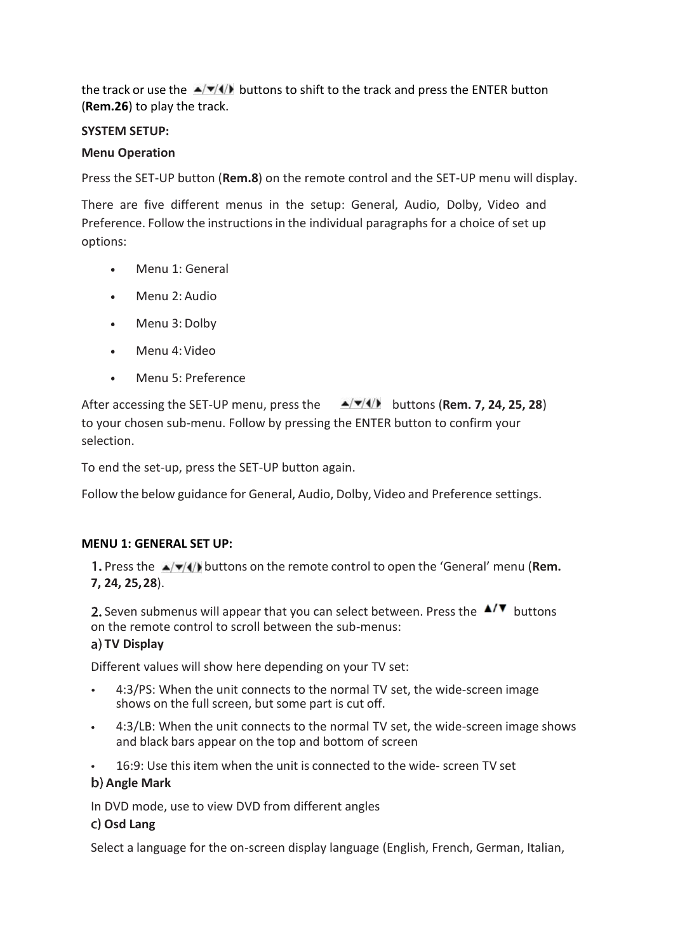the track or use the  $\triangle$ / $\triangle$ / $\triangle$  buttons to shift to the track and press the ENTER button (**Rem.26**) to play the track.

# **SYSTEM SETUP:**

# **Menu Operation**

Press the SET-UP button (**Rem.8**) on the remote control and the SET-UP menu will display.

There are five different menus in the setup: General, Audio, Dolby, Video and Preference. Follow the instructions in the individual paragraphs for a choice of set up options:

- Menu 1: General
- Menu 2: Audio
- Menu 3: Dolby
- Menu 4:Video  $\bullet$  .
- Menu 5: Preference

After accessing the SET-UP menu, press the  $\rightarrow$   $\rightarrow$   $\rightarrow$  **buttons (Rem. 7, 24, 25, 28)** to your chosen sub-menu. Follow by pressing the ENTER button to confirm your selection.

To end the set-up, press the SET-UP button again.

Follow the below guidance for General, Audio, Dolby, Video and Preference settings.

#### **MENU 1: GENERAL SET UP:**

1. Press the  $\triangle$ / $\blacktriangledown$ / $\blacktriangleleft$ ) buttons on the remote control to open the 'General' menu (**Rem. 7, 24, 25,28**).

2. Seven submenus will appear that you can select between. Press the  $\Box$  buttons on the remote control to scroll between the sub-menus:

#### **TV Display**

Different values will show here depending on your TV set:

- 4:3/PS: When the unit connects to the normal TV set, the wide-screen image shows on the full screen, but some part is cut off.
- 4:3/LB: When the unit connects to the normal TV set, the wide-screen image shows and black bars appear on the top and bottom of screen
- 16:9: Use this item when the unit is connected to the wide- screen TV set

#### **Angle Mark**

In DVD mode, use to view DVD from different angles

#### **Osd Lang**

Select a language for the on-screen display language (English, French, German, Italian,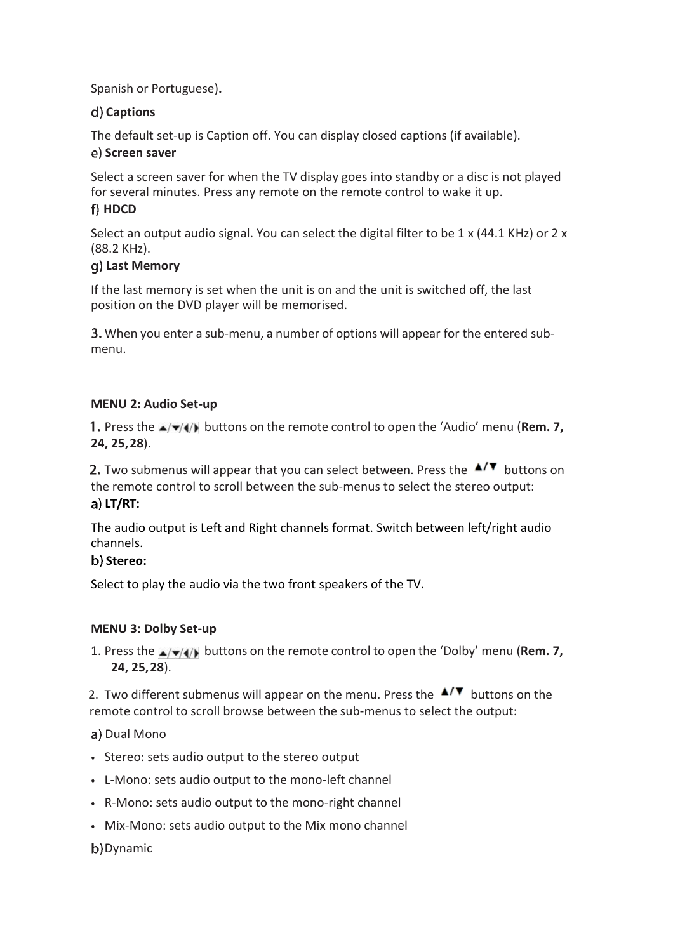Spanish or Portuguese)**.**

# **Captions**

The default set-up is Caption off. You can display closed captions (if available).

# **e**) Screen saver

Select a screen saver for when the TV display goes into standby or a disc is not played for several minutes. Press any remote on the remote control to wake it up.

# f) HDCD

Select an output audio signal. You can select the digital filter to be 1 x (44.1 KHz) or 2 x (88.2 KHz).

# **Last Memory**

If the last memory is set when the unit is on and the unit is switched off, the last position on the DVD player will be memorised.

When you enter a sub-menu, a number of options will appear for the entered submenu.

# **MENU 2: Audio Set-up**

1. Press the  $\triangle$ / $\triangledown$ //) buttons on the remote control to open the 'Audio' menu (**Rem. 7, 24, 25,28**).

2. Two submenus will appear that you can select between. Press the  $\Box/\blacktriangledown$  buttons on the remote control to scroll between the sub-menus to select the stereo output: **LT/RT:**

The audio output is Left and Right channels format. Switch between left/right audio channels.

# **Stereo:**

Select to play the audio via the two front speakers of the TV.

# **MENU 3: Dolby Set-up**

1. Press the  $\triangle$ / $\triangledown$ / $\parallel$ ) buttons on the remote control to open the 'Dolby' menu (**Rem. 7, 24, 25,28**).

2. Two different submenus will appear on the menu. Press the  $\triangle$ / $\triangledown$  buttons on the remote control to scroll browse between the sub-menus to select the output:

a) Dual Mono

- Stereo: sets audio output to the stereo output
- L-Mono: sets audio output to the mono-left channel
- R-Mono: sets audio output to the mono-right channel
- Mix-Mono: sets audio output to the Mix mono channel

b) Dynamic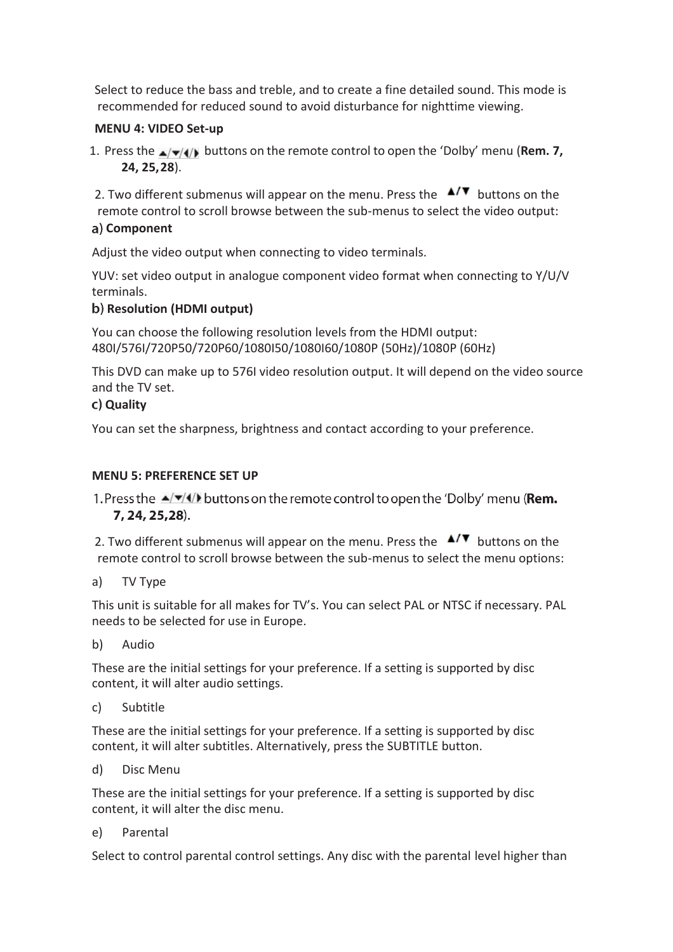Select to reduce the bass and treble, and to create a fine detailed sound. This mode is recommended for reduced sound to avoid disturbance for nighttime viewing.

# **MENU 4: VIDEO Set-up**

1. Press the  $\triangle$ / $\blacktriangledown$ / $\blacktriangleleft$ ) buttons on the remote control to open the 'Dolby' menu (**Rem. 7, 24, 25,28**).

2. Two different submenus will appear on the menu. Press the  $\Box$  buttons on the remote control to scroll browse between the sub-menus to select the video output:

# **Component**

Adjust the video output when connecting to video terminals.

YUV: set video output in analogue component video format when connecting to Y/U/V terminals.

# **Resolution (HDMI output)**

You can choose the following resolution levels from the HDMI output: 480I/576I/720P50/720P60/1080I50/1080I60/1080P (50Hz)/1080P (60Hz)

This DVD can make up to 576I video resolution output. It will depend on the video source and the TV set.

#### **Quality**

You can set the sharpness, brightness and contact according to your preference.

# **MENU 5: PREFERENCE SET UP**

1. Press the  $\triangle$ / $\triangledown$ / $\triangleleft$  buttons on the remote control to open the 'Dolby' menu (**Rem.** 7, 24, 25, 28).

2. Two different submenus will appear on the menu. Press the  $\Box$  buttons on the remote control to scroll browse between the sub-menus to select the menu options:

a) TV Type

This unit is suitable for all makes for TV's. You can select PAL or NTSC if necessary. PAL needs to be selected for use in Europe.

b) Audio

These are the initial settings for your preference. If a setting is supported by disc content, it will alter audio settings.

c) Subtitle

These are the initial settings for your preference. If a setting is supported by disc content, it will alter subtitles. Alternatively, press the SUBTITLE button.

d) Disc Menu

These are the initial settings for your preference. If a setting is supported by disc content, it will alter the disc menu.

e) Parental

Select to control parental control settings. Any disc with the parental level higher than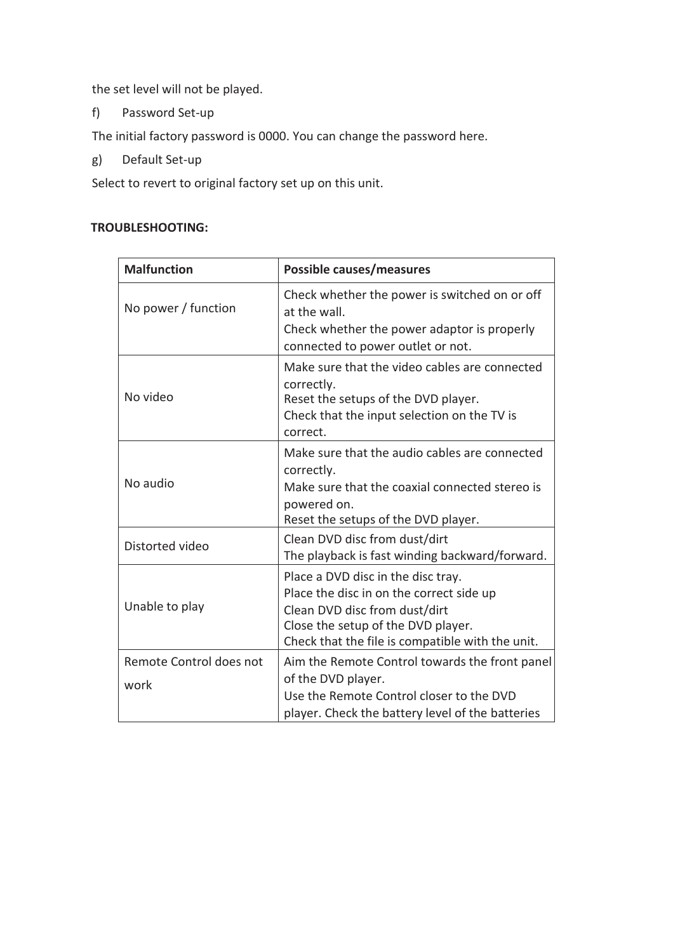the set level will not be played.

f) Password Set-up

The initial factory password is 0000. You can change the password here.

g) Default Set-up

Select to revert to original factory set up on this unit.

# **TROUBLESHOOTING:**

| <b>Malfunction</b>              | <b>Possible causes/measures</b>                                                                                                                                                                           |
|---------------------------------|-----------------------------------------------------------------------------------------------------------------------------------------------------------------------------------------------------------|
| No power / function             | Check whether the power is switched on or off<br>at the wall.<br>Check whether the power adaptor is properly<br>connected to power outlet or not.                                                         |
| No video                        | Make sure that the video cables are connected<br>correctly.<br>Reset the setups of the DVD player.<br>Check that the input selection on the TV is<br>correct.                                             |
| No audio                        | Make sure that the audio cables are connected<br>correctly.<br>Make sure that the coaxial connected stereo is<br>powered on.<br>Reset the setups of the DVD player.                                       |
| Distorted video                 | Clean DVD disc from dust/dirt<br>The playback is fast winding backward/forward.                                                                                                                           |
| Unable to play                  | Place a DVD disc in the disc tray.<br>Place the disc in on the correct side up<br>Clean DVD disc from dust/dirt<br>Close the setup of the DVD player.<br>Check that the file is compatible with the unit. |
| Remote Control does not<br>work | Aim the Remote Control towards the front panel<br>of the DVD player.<br>Use the Remote Control closer to the DVD<br>player. Check the battery level of the batteries                                      |